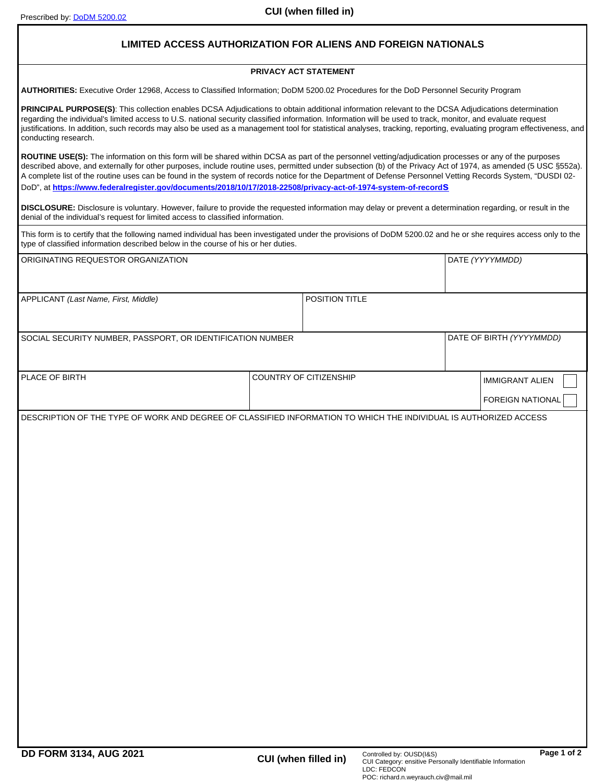## **LIMITED ACCESS AUTHORIZATION FOR ALIENS AND FOREIGN NATIONALS**

## **PRIVACY ACT STATEMENT**

**AUTHORITIES:** Executive Order 12968, Access to Classified Information; DoDM 5200.02 Procedures for the DoD Personnel Security Program

**PRINCIPAL PURPOSE(S)**: This collection enables DCSA Adjudications to obtain additional information relevant to the DCSA Adjudications determination regarding the individual's limited access to U.S. national security classified information. Information will be used to track, monitor, and evaluate request justifications. In addition, such records may also be used as a management tool for statistical analyses, tracking, reporting, evaluating program effectiveness, and conducting research.

**ROUTINE USE(S):** The information on this form will be shared within DCSA as part of the personnel vetting/adjudication processes or any of the purposes described above, and externally for other purposes, include routine uses, permitted under subsection (b) of the Privacy Act of 1974, as amended (5 USC §552a). A complete list of the routine uses can be found in the system of records notice for the Department of Defense Personnel Vetting Records System, "DUSDI 02- DoD", at **[https://www.federalregister.gov/documents/2018/10/17/2018-22508/privacy-act-of-1974-system-of-records](}{\rtlch\fcs1 \af31507 \ltrch\fcs0 \insrsid8350767\charrsid11412879 https://www.federalregister.gov/documents/2018/10/17/2018-22508/privacy-act-of-1974-system-of-records}{\rtlch\fcs1 \af31507 \ltrch\fcs0 \insrsid8350767 )**

**DISCLOSURE:** Disclosure is voluntary. However, failure to provide the requested information may delay or prevent a determination regarding, or result in the denial of the individual's request for limited access to classified information.

This form is to certify that the following named individual has been investigated under the provisions of DoDM 5200.02 and he or she requires access only to the type of classified information described below in the course of his or her duties.

| ORIGINATING REQUESTOR ORGANIZATION                                                                                |  |                                                  | DATE (YYYYMMDD)          |                  |
|-------------------------------------------------------------------------------------------------------------------|--|--------------------------------------------------|--------------------------|------------------|
| APPLICANT (Last Name, First, Middle)                                                                              |  | POSITION TITLE                                   |                          |                  |
| SOCIAL SECURITY NUMBER, PASSPORT, OR IDENTIFICATION NUMBER                                                        |  |                                                  | DATE OF BIRTH (YYYYMMDD) |                  |
|                                                                                                                   |  |                                                  |                          |                  |
| PLACE OF BIRTH                                                                                                    |  | COUNTRY OF CITIZENSHIP<br><b>IMMIGRANT ALIEN</b> |                          |                  |
|                                                                                                                   |  |                                                  |                          | FOREIGN NATIONAL |
| DESCRIPTION OF THE TYPE OF WORK AND DEGREE OF CLASSIFIED INFORMATION TO WHICH THE INDIVIDUAL IS AUTHORIZED ACCESS |  |                                                  |                          |                  |
|                                                                                                                   |  |                                                  |                          |                  |
|                                                                                                                   |  |                                                  |                          |                  |
|                                                                                                                   |  |                                                  |                          |                  |
|                                                                                                                   |  |                                                  |                          |                  |
|                                                                                                                   |  |                                                  |                          |                  |
|                                                                                                                   |  |                                                  |                          |                  |
|                                                                                                                   |  |                                                  |                          |                  |
|                                                                                                                   |  |                                                  |                          |                  |
|                                                                                                                   |  |                                                  |                          |                  |
|                                                                                                                   |  |                                                  |                          |                  |
|                                                                                                                   |  |                                                  |                          |                  |
|                                                                                                                   |  |                                                  |                          |                  |
|                                                                                                                   |  |                                                  |                          |                  |
|                                                                                                                   |  |                                                  |                          |                  |
|                                                                                                                   |  |                                                  |                          |                  |